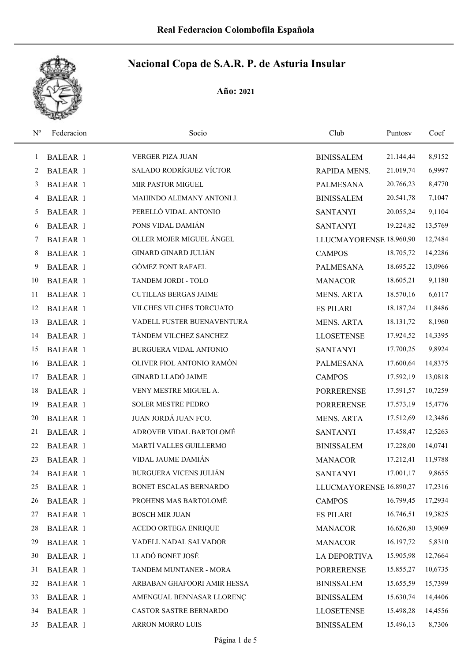

| $\mathbf{N}^{\text{o}}$ | Federacion      | Socio                         | Club                    | Puntosv   | Coef    |
|-------------------------|-----------------|-------------------------------|-------------------------|-----------|---------|
| 1                       | <b>BALEAR 1</b> | VERGER PIZA JUAN              | <b>BINISSALEM</b>       | 21.144,44 | 8,9152  |
| 2                       | <b>BALEAR 1</b> | SALADO RODRÍGUEZ VÍCTOR       | <b>RAPIDA MENS.</b>     | 21.019,74 | 6,9997  |
| 3                       | <b>BALEAR 1</b> | MIR PASTOR MIGUEL             | <b>PALMESANA</b>        | 20.766,23 | 8,4770  |
| 4                       | <b>BALEAR 1</b> | MAHINDO ALEMANY ANTONI J.     | <b>BINISSALEM</b>       | 20.541,78 | 7,1047  |
| 5                       | <b>BALEAR 1</b> | PERELLÓ VIDAL ANTONIO         | <b>SANTANYI</b>         | 20.055,24 | 9,1104  |
| 6                       | <b>BALEAR 1</b> | PONS VIDAL DAMIÁN             | <b>SANTANYI</b>         | 19.224,82 | 13,5769 |
| 7                       | <b>BALEAR 1</b> | OLLER MOJER MIGUEL ÁNGEL      | LLUCMAYORENSE 18.960,90 |           | 12,7484 |
| 8                       | <b>BALEAR 1</b> | <b>GINARD GINARD JULIÁN</b>   | <b>CAMPOS</b>           | 18.705,72 | 14,2286 |
| 9                       | <b>BALEAR 1</b> | <b>GÓMEZ FONT RAFAEL</b>      | PALMESANA               | 18.695,22 | 13,0966 |
| 10                      | <b>BALEAR 1</b> | TANDEM JORDI - TOLO           | <b>MANACOR</b>          | 18.605,21 | 9,1180  |
| 11                      | <b>BALEAR 1</b> | <b>CUTILLAS BERGAS JAIME</b>  | <b>MENS. ARTA</b>       | 18.570,16 | 6,6117  |
| 12                      | <b>BALEAR 1</b> | VILCHES VILCHES TORCUATO      | <b>ES PILARI</b>        | 18.187,24 | 11,8486 |
| 13                      | <b>BALEAR 1</b> | VADELL FUSTER BUENAVENTURA    | <b>MENS. ARTA</b>       | 18.131,72 | 8,1960  |
| 14                      | <b>BALEAR 1</b> | TÁNDEM VILCHEZ SANCHEZ        | <b>LLOSETENSE</b>       | 17.924,52 | 14,3395 |
| 15                      | <b>BALEAR 1</b> | BURGUERA VIDAL ANTONIO        | <b>SANTANYI</b>         | 17.700,25 | 9,8924  |
| 16                      | <b>BALEAR 1</b> | OLIVER FIOL ANTONIO RAMÓN     | <b>PALMESANA</b>        | 17.600,64 | 14,8375 |
| 17                      | <b>BALEAR 1</b> | <b>GINARD LLADÓ JAIME</b>     | <b>CAMPOS</b>           | 17.592,19 | 13,0818 |
| 18                      | <b>BALEAR 1</b> | VENY MESTRE MIGUEL A.         | <b>PORRERENSE</b>       | 17.591,57 | 10,7259 |
| 19                      | <b>BALEAR 1</b> | SOLER MESTRE PEDRO            | <b>PORRERENSE</b>       | 17.573,19 | 15,4776 |
| 20                      | <b>BALEAR 1</b> | JUAN JORDÁ JUAN FCO.          | <b>MENS. ARTA</b>       | 17.512,69 | 12,3486 |
| 21                      | <b>BALEAR 1</b> | ADROVER VIDAL BARTOLOMÉ       | <b>SANTANYI</b>         | 17.458,47 | 12,5263 |
| 22                      | <b>BALEAR 1</b> | MARTÍ VALLES GUILLERMO        | <b>BINISSALEM</b>       | 17.228,00 | 14,0741 |
| 23                      | <b>BALEAR 1</b> | VIDAL JAUME DAMIÁN            | <b>MANACOR</b>          | 17.212,41 | 11,9788 |
| 24                      | <b>BALEAR 1</b> | <b>BURGUERA VICENS JULIÁN</b> | <b>SANTANYI</b>         | 17.001,17 | 9,8655  |
| 25                      | <b>BALEAR 1</b> | BONET ESCALAS BERNARDO        | LLUCMAYORENSE 16.890,27 |           | 17,2316 |
| 26                      | <b>BALEAR 1</b> | PROHENS MAS BARTOLOMÉ         | <b>CAMPOS</b>           | 16.799,45 | 17,2934 |
| 27                      | <b>BALEAR 1</b> | <b>BOSCH MIR JUAN</b>         | <b>ES PILARI</b>        | 16.746,51 | 19,3825 |
| 28                      | <b>BALEAR 1</b> | ACEDO ORTEGA ENRIQUE          | <b>MANACOR</b>          | 16.626,80 | 13,9069 |
| 29                      | <b>BALEAR 1</b> | VADELL NADAL SALVADOR         | <b>MANACOR</b>          | 16.197,72 | 5,8310  |
| 30                      | <b>BALEAR 1</b> | LLADÓ BONET JOSÉ              | LA DEPORTIVA            | 15.905,98 | 12,7664 |
| 31                      | <b>BALEAR 1</b> | TANDEM MUNTANER - MORA        | <b>PORRERENSE</b>       | 15.855,27 | 10,6735 |
| 32                      | <b>BALEAR 1</b> | ARBABAN GHAFOORI AMIR HESSA   | <b>BINISSALEM</b>       | 15.655,59 | 15,7399 |
| 33                      | <b>BALEAR 1</b> | AMENGUAL BENNASAR LLORENÇ     | <b>BINISSALEM</b>       | 15.630,74 | 14,4406 |
| 34                      | <b>BALEAR 1</b> | CASTOR SASTRE BERNARDO        | <b>LLOSETENSE</b>       | 15.498,28 | 14,4556 |
| 35                      | <b>BALEAR 1</b> | ARRON MORRO LUIS              | <b>BINISSALEM</b>       | 15.496,13 | 8,7306  |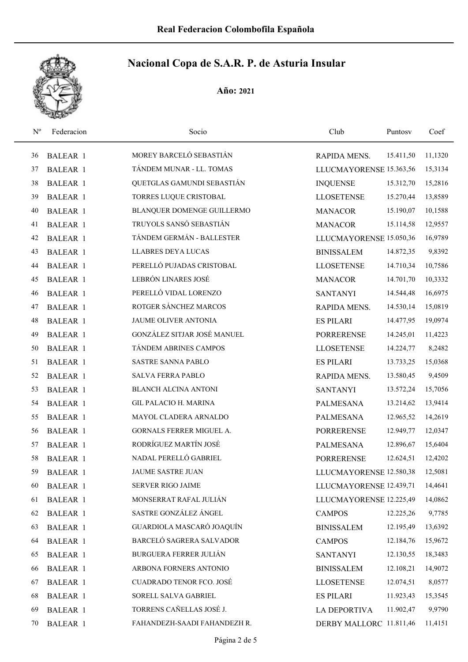

| $N^{\rm o}$ | Federacion      | Socio                         | Club                    | Puntosy   | Coef    |
|-------------|-----------------|-------------------------------|-------------------------|-----------|---------|
| 36          | <b>BALEAR 1</b> | MOREY BARCELÓ SEBASTIÁN       | RAPIDA MENS.            | 15.411,50 | 11,1320 |
| 37          | <b>BALEAR 1</b> | TÁNDEM MUNAR - LL. TOMAS      | LLUCMAYORENSE 15.363,56 |           | 15,3134 |
| 38          | <b>BALEAR 1</b> | QUETGLAS GAMUNDI SEBASTIÁN    | <b>INQUENSE</b>         | 15.312,70 | 15,2816 |
| 39          | <b>BALEAR 1</b> | TORRES LUQUE CRISTOBAL        | <b>LLOSETENSE</b>       | 15.270,44 | 13,8589 |
| 40          | <b>BALEAR 1</b> | BLANQUER DOMENGE GUILLERMO    | <b>MANACOR</b>          | 15.190,07 | 10,1588 |
| 41          | <b>BALEAR 1</b> | TRUYOLS SANSÓ SEBASTIÁN       | <b>MANACOR</b>          | 15.114,58 | 12,9557 |
| 42          | <b>BALEAR 1</b> | TÁNDEM GERMÁN - BALLESTER     | LLUCMAYORENSE 15.050,36 |           | 16,9789 |
| 43          | <b>BALEAR 1</b> | <b>LLABRES DEYA LUCAS</b>     | <b>BINISSALEM</b>       | 14.872,35 | 9,8392  |
| 44          | <b>BALEAR 1</b> | PERELLÓ PUJADAS CRISTOBAL     | <b>LLOSETENSE</b>       | 14.710,34 | 10,7586 |
| 45          | <b>BALEAR 1</b> | LEBRÓN LINARES JOSÉ           | <b>MANACOR</b>          | 14.701,70 | 10,3332 |
| 46          | <b>BALEAR 1</b> | PERELLÓ VIDAL LORENZO         | <b>SANTANYI</b>         | 14.544,48 | 16,6975 |
| 47          | <b>BALEAR 1</b> | ROTGER SÁNCHEZ MARCOS         | RAPIDA MENS.            | 14.530,14 | 15,0819 |
| 48          | <b>BALEAR 1</b> | JAUME OLIVER ANTONIA          | <b>ES PILARI</b>        | 14.477,95 | 19,0974 |
| 49          | <b>BALEAR 1</b> | GONZÁLEZ SITJAR JOSÉ MANUEL   | <b>PORRERENSE</b>       | 14.245,01 | 11,4223 |
| 50          | <b>BALEAR 1</b> | TÁNDEM ABRINES CAMPOS         | <b>LLOSETENSE</b>       | 14.224,77 | 8,2482  |
| 51          | <b>BALEAR 1</b> | SASTRE SANNA PABLO            | <b>ES PILARI</b>        | 13.733,25 | 15,0368 |
| 52          | <b>BALEAR 1</b> | <b>SALVA FERRA PABLO</b>      | RAPIDA MENS.            | 13.580,45 | 9,4509  |
| 53          | <b>BALEAR 1</b> | <b>BLANCH ALCINA ANTONI</b>   | <b>SANTANYI</b>         | 13.572,24 | 15,7056 |
| 54          | <b>BALEAR 1</b> | <b>GIL PALACIO H. MARINA</b>  | <b>PALMESANA</b>        | 13.214,62 | 13,9414 |
| 55          | <b>BALEAR 1</b> | MAYOL CLADERA ARNALDO         | <b>PALMESANA</b>        | 12.965,52 | 14,2619 |
| 56          | <b>BALEAR 1</b> | GORNALS FERRER MIGUEL A.      | <b>PORRERENSE</b>       | 12.949,77 | 12,0347 |
| 57          | <b>BALEAR 1</b> | RODRÍGUEZ MARTÍN JOSÉ         | <b>PALMESANA</b>        | 12.896,67 | 15,6404 |
| 58          | <b>BALEAR 1</b> | NADAL PERELLÓ GABRIEL         | <b>PORRERENSE</b>       | 12.624,51 | 12,4202 |
| 59          | <b>BALEAR 1</b> | JAUME SASTRE JUAN             | LLUCMAYORENSE 12.580,38 |           | 12,5081 |
| 60          | <b>BALEAR 1</b> | <b>SERVER RIGO JAIME</b>      | LLUCMAYORENSE 12.439,71 |           | 14,4641 |
| 61          | <b>BALEAR 1</b> | MONSERRAT RAFAL JULIÁN        | LLUCMAYORENSE 12.225,49 |           | 14,0862 |
| 62          | <b>BALEAR 1</b> | SASTRE GONZÁLEZ ÁNGEL         | <b>CAMPOS</b>           | 12.225,26 | 9,7785  |
| 63          | <b>BALEAR 1</b> | GUARDIOLA MASCARÓ JOAQUÍN     | <b>BINISSALEM</b>       | 12.195,49 | 13,6392 |
| 64          | <b>BALEAR 1</b> | BARCELÓ SAGRERA SALVADOR      | <b>CAMPOS</b>           | 12.184,76 | 15,9672 |
| 65          | <b>BALEAR 1</b> | <b>BURGUERA FERRER JULIÁN</b> | <b>SANTANYI</b>         | 12.130,55 | 18,3483 |
| 66          | <b>BALEAR 1</b> | ARBONA FORNERS ANTONIO        | <b>BINISSALEM</b>       | 12.108,21 | 14,9072 |
| 67          | <b>BALEAR 1</b> | CUADRADO TENOR FCO. JOSÉ      | <b>LLOSETENSE</b>       | 12.074,51 | 8,0577  |
| 68          | <b>BALEAR 1</b> | SORELL SALVA GABRIEL          | <b>ES PILARI</b>        | 11.923,43 | 15,3545 |
| 69          | <b>BALEAR 1</b> | TORRENS CAÑELLAS JOSÉ J.      | <b>LA DEPORTIVA</b>     | 11.902,47 | 9,9790  |
| 70          | <b>BALEAR 1</b> | FAHANDEZH-SAADI FAHANDEZH R.  | DERBY MALLORC 11.811,46 |           | 11,4151 |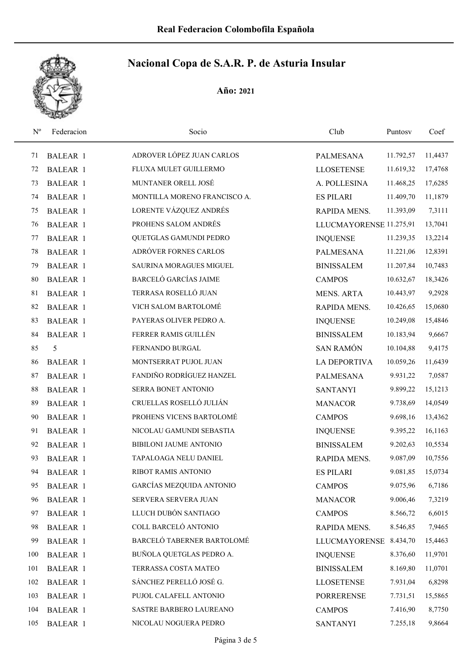

| $N^{\rm o}$ | Federacion      | Socio                        | Club                    | Puntosy   | Coef    |
|-------------|-----------------|------------------------------|-------------------------|-----------|---------|
| 71          | <b>BALEAR 1</b> | ADROVER LÓPEZ JUAN CARLOS    | <b>PALMESANA</b>        | 11.792,57 | 11,4437 |
| 72          | <b>BALEAR 1</b> | FLUXA MULET GUILLERMO        | <b>LLOSETENSE</b>       | 11.619,32 | 17,4768 |
| 73          | <b>BALEAR 1</b> | MUNTANER ORELL JOSÉ          | A. POLLESINA            | 11.468,25 | 17,6285 |
| 74          | <b>BALEAR 1</b> | MONTILLA MORENO FRANCISCO A. | <b>ES PILARI</b>        | 11.409,70 | 11,1879 |
| 75          | <b>BALEAR 1</b> | LORENTE VÁZQUEZ ANDRÉS       | RAPIDA MENS.            | 11.393,09 | 7,3111  |
| 76          | <b>BALEAR 1</b> | PROHENS SALOM ANDRÉS         | LLUCMAYORENSE 11.275,91 |           | 13,7041 |
| 77          | <b>BALEAR 1</b> | QUETGLAS GAMUNDI PEDRO       | <b>INQUENSE</b>         | 11.239,35 | 13,2214 |
| 78          | <b>BALEAR 1</b> | ADRÓVER FORNES CARLOS        | PALMESANA               | 11.221,06 | 12,8391 |
| 79          | <b>BALEAR 1</b> | SAURINA MORAGUES MIGUEL      | <b>BINISSALEM</b>       | 11.207,84 | 10,7483 |
| 80          | <b>BALEAR 1</b> | <b>BARCELÓ GARCÍAS JAIME</b> | <b>CAMPOS</b>           | 10.632,67 | 18,3426 |
| 81          | <b>BALEAR 1</b> | TERRASA ROSELLÓ JUAN         | <b>MENS. ARTA</b>       | 10.443,97 | 9,2928  |
| 82          | <b>BALEAR 1</b> | VICH SALOM BARTOLOMÉ         | RAPIDA MENS.            | 10.426,65 | 15,0680 |
| 83          | <b>BALEAR 1</b> | PAYERAS OLIVER PEDRO A.      | <b>INQUENSE</b>         | 10.249,08 | 15,4846 |
| 84          | <b>BALEAR 1</b> | FERRER RAMIS GUILLÉN         | <b>BINISSALEM</b>       | 10.183,94 | 9,6667  |
| 85          | 5               | FERNANDO BURGAL              | <b>SAN RAMÓN</b>        | 10.104,88 | 9,4175  |
| 86          | <b>BALEAR 1</b> | MONTSERRAT PUJOL JUAN        | LA DEPORTIVA            | 10.059,26 | 11,6439 |
| 87          | <b>BALEAR 1</b> | FANDIÑO RODRÍGUEZ HANZEL     | <b>PALMESANA</b>        | 9.931,22  | 7,0587  |
| 88          | <b>BALEAR 1</b> | SERRA BONET ANTONIO          | <b>SANTANYI</b>         | 9.899,22  | 15,1213 |
| 89          | <b>BALEAR 1</b> | CRUELLAS ROSELLÓ JULIÁN      | <b>MANACOR</b>          | 9.738,69  | 14,0549 |
| 90          | <b>BALEAR 1</b> | PROHENS VICENS BARTOLOMÉ     | <b>CAMPOS</b>           | 9.698,16  | 13,4362 |
| 91          | <b>BALEAR 1</b> | NICOLAU GAMUNDI SEBASTIA     | <b>INQUENSE</b>         | 9.395,22  | 16,1163 |
| 92          | <b>BALEAR 1</b> | BIBILONI JAUME ANTONIO       | <b>BINISSALEM</b>       | 9.202,63  | 10,5534 |
| 93          | <b>BALEAR 1</b> | TAPALOAGA NELU DANIEL        | RAPIDA MENS.            | 9.087,09  | 10,7556 |
| 94          | <b>BALEAR 1</b> | RIBOT RAMIS ANTONIO          | <b>ES PILARI</b>        | 9.081,85  | 15,0734 |
| 95          | <b>BALEAR 1</b> | GARCÍAS MEZQUIDA ANTONIO     | <b>CAMPOS</b>           | 9.075,96  | 6,7186  |
| 96          | <b>BALEAR 1</b> | SERVERA SERVERA JUAN         | <b>MANACOR</b>          | 9.006,46  | 7,3219  |
| 97          | <b>BALEAR 1</b> | LLUCH DUBÓN SANTIAGO         | <b>CAMPOS</b>           | 8.566,72  | 6,6015  |
| 98          | <b>BALEAR 1</b> | COLL BARCELÓ ANTONIO         | RAPIDA MENS.            | 8.546,85  | 7,9465  |
| 99          | <b>BALEAR 1</b> | BARCELÓ TABERNER BARTOLOMÉ   | <b>LLUCMAYORENSE</b>    | 8.434,70  | 15,4463 |
| 100         | <b>BALEAR 1</b> | BUÑOLA QUETGLAS PEDRO A.     | <b>INQUENSE</b>         | 8.376,60  | 11,9701 |
| 101         | <b>BALEAR 1</b> | TERRASSA COSTA MATEO         | <b>BINISSALEM</b>       | 8.169,80  | 11,0701 |
| 102         | <b>BALEAR 1</b> | SÁNCHEZ PERELLÓ JOSÉ G.      | <b>LLOSETENSE</b>       | 7.931,04  | 6,8298  |
| 103         | <b>BALEAR 1</b> | PUJOL CALAFELL ANTONIO       | <b>PORRERENSE</b>       | 7.731,51  | 15,5865 |
| 104         | <b>BALEAR 1</b> | SASTRE BARBERO LAUREANO      | <b>CAMPOS</b>           | 7.416,90  | 8,7750  |
| 105         | <b>BALEAR 1</b> | NICOLAU NOGUERA PEDRO        | <b>SANTANYI</b>         | 7.255,18  | 9,8664  |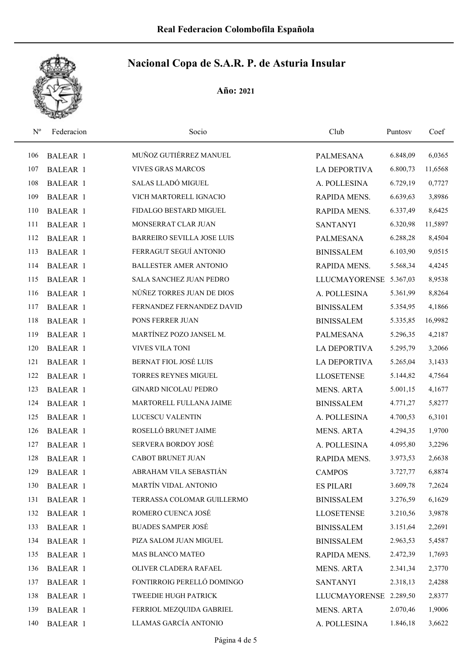

| $\mathbf{N}^{\text{o}}$ | Federacion      | Socio                             | Club                   | Puntosv  | Coef    |
|-------------------------|-----------------|-----------------------------------|------------------------|----------|---------|
| 106                     | <b>BALEAR 1</b> | MUÑOZ GUTIÉRREZ MANUEL            | <b>PALMESANA</b>       | 6.848,09 | 6,0365  |
| 107                     | <b>BALEAR 1</b> | <b>VIVES GRAS MARCOS</b>          | <b>LA DEPORTIVA</b>    | 6.800,73 | 11,6568 |
| 108                     | <b>BALEAR 1</b> | SALAS LLADÓ MIGUEL                | A. POLLESINA           | 6.729,19 | 0,7727  |
| 109                     | <b>BALEAR 1</b> | VICH MARTORELL IGNACIO            | RAPIDA MENS.           | 6.639,63 | 3,8986  |
| 110                     | <b>BALEAR 1</b> | FIDALGO BESTARD MIGUEL            | RAPIDA MENS.           | 6.337,49 | 8,6425  |
| 111                     | <b>BALEAR 1</b> | MONSERRAT CLAR JUAN               | <b>SANTANYI</b>        | 6.320,98 | 11,5897 |
| 112                     | <b>BALEAR 1</b> | <b>BARREIRO SEVILLA JOSE LUIS</b> | <b>PALMESANA</b>       | 6.288,28 | 8,4504  |
| 113                     | <b>BALEAR 1</b> | FERRAGUT SEGUÍ ANTONIO            | <b>BINISSALEM</b>      | 6.103,90 | 9,0515  |
| 114                     | <b>BALEAR 1</b> | <b>BALLESTER AMER ANTONIO</b>     | RAPIDA MENS.           | 5.568,34 | 4,4245  |
| 115                     | <b>BALEAR 1</b> | SALA SANCHEZ JUAN PEDRO           | <b>LLUCMAYORENSE</b>   | 5.367,03 | 8,9538  |
| 116                     | <b>BALEAR 1</b> | NÚÑEZ TORRES JUAN DE DIOS         | A. POLLESINA           | 5.361,99 | 8,8264  |
| 117                     | <b>BALEAR 1</b> | FERNANDEZ FERNANDEZ DAVID         | <b>BINISSALEM</b>      | 5.354,95 | 4,1866  |
| 118                     | <b>BALEAR 1</b> | PONS FERRER JUAN                  | <b>BINISSALEM</b>      | 5.335,85 | 16,9982 |
| 119                     | <b>BALEAR 1</b> | MARTÍNEZ POZO JANSEL M.           | <b>PALMESANA</b>       | 5.296,35 | 4,2187  |
| 120                     | <b>BALEAR 1</b> | VIVES VILA TONI                   | <b>LA DEPORTIVA</b>    | 5.295,79 | 3,2066  |
| 121                     | <b>BALEAR 1</b> | <b>BERNAT FIOL JOSÉ LUIS</b>      | <b>LA DEPORTIVA</b>    | 5.265,04 | 3,1433  |
| 122                     | <b>BALEAR 1</b> | TORRES REYNES MIGUEL              | <b>LLOSETENSE</b>      | 5.144,82 | 4,7564  |
| 123                     | <b>BALEAR 1</b> | <b>GINARD NICOLAU PEDRO</b>       | MENS. ARTA             | 5.001,15 | 4,1677  |
| 124                     | <b>BALEAR 1</b> | MARTORELL FULLANA JAIME           | <b>BINISSALEM</b>      | 4.771,27 | 5,8277  |
| 125                     | <b>BALEAR 1</b> | LUCESCU VALENTIN                  | A. POLLESINA           | 4.700,53 | 6,3101  |
| 126                     | <b>BALEAR 1</b> | ROSELLÓ BRUNET JAIME              | <b>MENS. ARTA</b>      | 4.294,35 | 1,9700  |
| 127                     | <b>BALEAR 1</b> | SERVERA BORDOY JOSÉ               | A. POLLESINA           | 4.095,80 | 3,2296  |
| 128                     | <b>BALEAR 1</b> | CABOT BRUNET JUAN                 | RAPIDA MENS.           | 3.973,53 | 2,6638  |
| 129                     | <b>BALEAR 1</b> | ABRAHAM VILA SEBASTIÁN            | <b>CAMPOS</b>          | 3.727,77 | 6,8874  |
| 130                     | BALEAR 1        | MARTÍN VIDAL ANTONIO              | <b>ES PILARI</b>       | 3.609,78 | 7,2624  |
| 131                     | BALEAR 1        | TERRASSA COLOMAR GUILLERMO        | <b>BINISSALEM</b>      | 3.276,59 | 6,1629  |
| 132                     | <b>BALEAR 1</b> | ROMERO CUENCA JOSÉ                | <b>LLOSETENSE</b>      | 3.210,56 | 3,9878  |
| 133                     | BALEAR 1        | <b>BUADES SAMPER JOSÉ</b>         | <b>BINISSALEM</b>      | 3.151,64 | 2,2691  |
| 134                     | BALEAR 1        | PIZA SALOM JUAN MIGUEL            | <b>BINISSALEM</b>      | 2.963,53 | 5,4587  |
| 135                     | <b>BALEAR 1</b> | MAS BLANCO MATEO                  | RAPIDA MENS.           | 2.472,39 | 1,7693  |
| 136                     | <b>BALEAR 1</b> | OLIVER CLADERA RAFAEL             | <b>MENS. ARTA</b>      | 2.341,34 | 2,3770  |
| 137                     | BALEAR 1        | FONTIRROIG PERELLÓ DOMINGO        | <b>SANTANYI</b>        | 2.318,13 | 2,4288  |
| 138                     | <b>BALEAR 1</b> | TWEEDIE HUGH PATRICK              | LLUCMAYORENSE 2.289,50 |          | 2,8377  |
| 139                     | <b>BALEAR 1</b> | FERRIOL MEZQUIDA GABRIEL          | MENS. ARTA             | 2.070,46 | 1,9006  |
| 140                     | BALEAR 1        | LLAMAS GARCÍA ANTONIO             | A. POLLESINA           | 1.846,18 | 3,6622  |